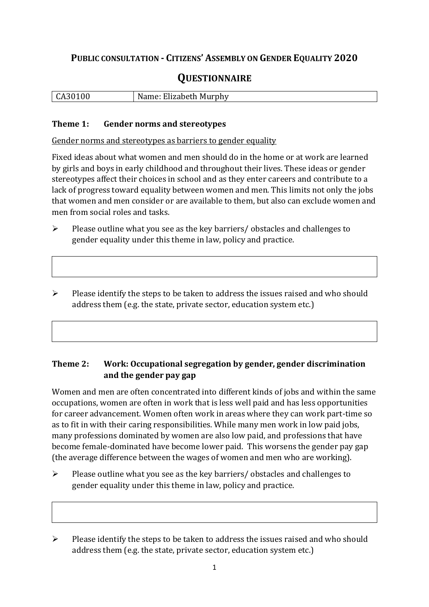# **PUBLIC CONSULTATION - CITIZENS' ASSEMBLY ON GENDER EQUALITY 2020**

# **QUESTIONNAIRE**

|  | -00-<br>$\mathbf{A}$<br><b>LAJUI</b> | Name: Elizabeth Murphy |
|--|--------------------------------------|------------------------|
|--|--------------------------------------|------------------------|

#### **Theme 1: Gender norms and stereotypes**

Gender norms and stereotypes as barriers to gender equality

Fixed ideas about what women and men should do in the home or at work are learned by girls and boys in early childhood and throughout their lives. These ideas or gender stereotypes affect their choices in school and as they enter careers and contribute to a lack of progress toward equality between women and men. This limits not only the jobs that women and men consider or are available to them, but also can exclude women and men from social roles and tasks.

➢ Please outline what you see as the key barriers/ obstacles and challenges to gender equality under this theme in law, policy and practice.

➢ Please identify the steps to be taken to address the issues raised and who should address them (e.g. the state, private sector, education system etc.)

## **Theme 2: Work: Occupational segregation by gender, gender discrimination and the gender pay gap**

Women and men are often concentrated into different kinds of jobs and within the same occupations, women are often in work that is less well paid and has less opportunities for career advancement. Women often work in areas where they can work part-time so as to fit in with their caring responsibilities. While many men work in low paid jobs, many professions dominated by women are also low paid, and professions that have become female-dominated have become lower paid. This worsens the gender pay gap (the average difference between the wages of women and men who are working).

➢ Please outline what you see as the key barriers/ obstacles and challenges to gender equality under this theme in law, policy and practice.

<sup>➢</sup> Please identify the steps to be taken to address the issues raised and who should address them (e.g. the state, private sector, education system etc.)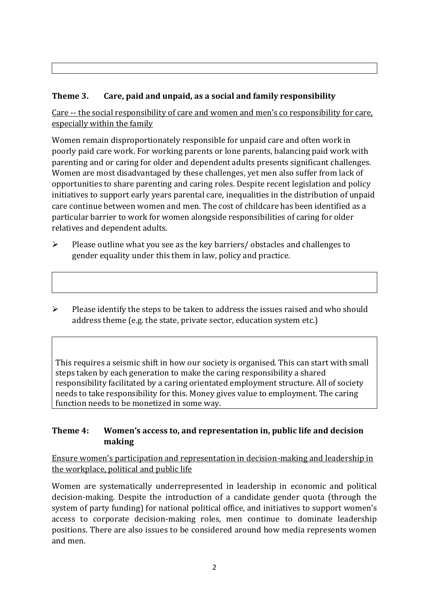# **Theme 3. Care, paid and unpaid, as a social and family responsibility**

Care -- the social responsibility of care and women and men's co responsibility for care, especially within the family

Women remain disproportionately responsible for unpaid care and often work in poorly paid care work. For working parents or [lone parents,](https://aran.library.nuigalway.ie/bitstream/handle/10379/6044/Millar_and_Crosse_Activation_Report.pdf?sequence=1&isAllowed=y) balancing paid work with parenting and or caring for older and dependent adults presents significant challenges. Women are [most disadvantaged by these challenges,](https://eige.europa.eu/gender-equality-index/game/IE/W) yet men also suffer from lack of opportunities to share parenting and caring roles. Despite recent legislation and policy initiatives to support early years parental care, [inequalities in the distribution of unpaid](https://www.ihrec.ie/app/uploads/2019/07/Caring-and-Unpaid-Work-in-Ireland_Final.pdf)  [care](https://www.ihrec.ie/app/uploads/2019/07/Caring-and-Unpaid-Work-in-Ireland_Final.pdf) continue between women and men. The cost of childcare has been identified as a particular barrier to work for women alongside responsibilities of caring for older relatives and dependent adults.

➢ Please outline what you see as the key barriers/ obstacles and challenges to gender equality under this them in law, policy and practice.

➢ Please identify the steps to be taken to address the issues raised and who should address theme (e.g. the state, private sector, education system etc.)

This requires a seismic shift in how our society is organised. This can start with small steps taken by each generation to make the caring responsibility a shared responsibility facilitated by a caring orientated employment structure. All of society needs to take responsibility for this. Money gives value to employment. The caring function needs to be monetized in some way.

## **Theme 4: Women's access to, and representation in, public life and decision making**

Ensure women's participation and representation in decision-making and leadership in the workplace, political and public life

Women are systematically underrepresented in leadership in [economic](https://eige.europa.eu/gender-equality-index/2019/compare-countries/power/2/bar) and [political](https://eige.europa.eu/gender-equality-index/2019/compare-countries/power/1/bar)  [decision-](https://eige.europa.eu/gender-equality-index/2019/compare-countries/power/1/bar)making. Despite the introduction of a candidate gender quota (through the system of party funding) for national political office, and [initiatives](https://betterbalance.ie/) to support women's access to corporate decision-making roles, men continue to dominate leadership positions. There are also issues to be considered around how media represents women and men.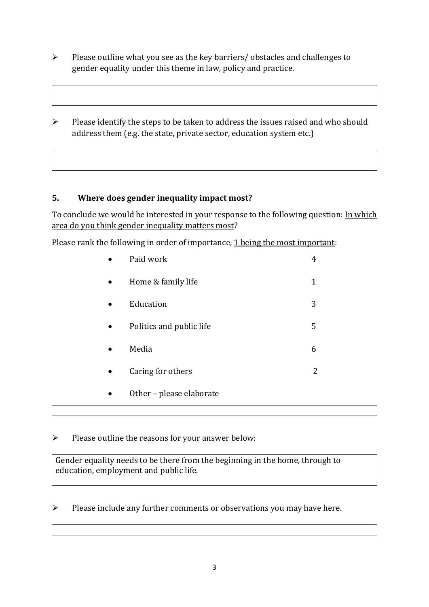- ➢ Please outline what you see as the key barriers/ obstacles and challenges to gender equality under this theme in law, policy and practice.
- ➢ Please identify the steps to be taken to address the issues raised and who should address them (e.g. the state, private sector, education system etc.)

## **5. Where does gender inequality impact most?**

To conclude we would be interested in your response to the following question: In which area do you think gender inequality matters most?

Please rank the following in order of importance, 1 being the most important:

| Paid work                | 4 |
|--------------------------|---|
| Home & family life       | 1 |
| Education                | 3 |
| Politics and public life | 5 |
| Media                    | 6 |
| Caring for others        | 2 |
| Other - please elaborate |   |

## ➢ Please outline the reasons for your answer below:

Gender equality needs to be there from the beginning in the home, through to education, employment and public life.

➢ Please include any further comments or observations you may have here.